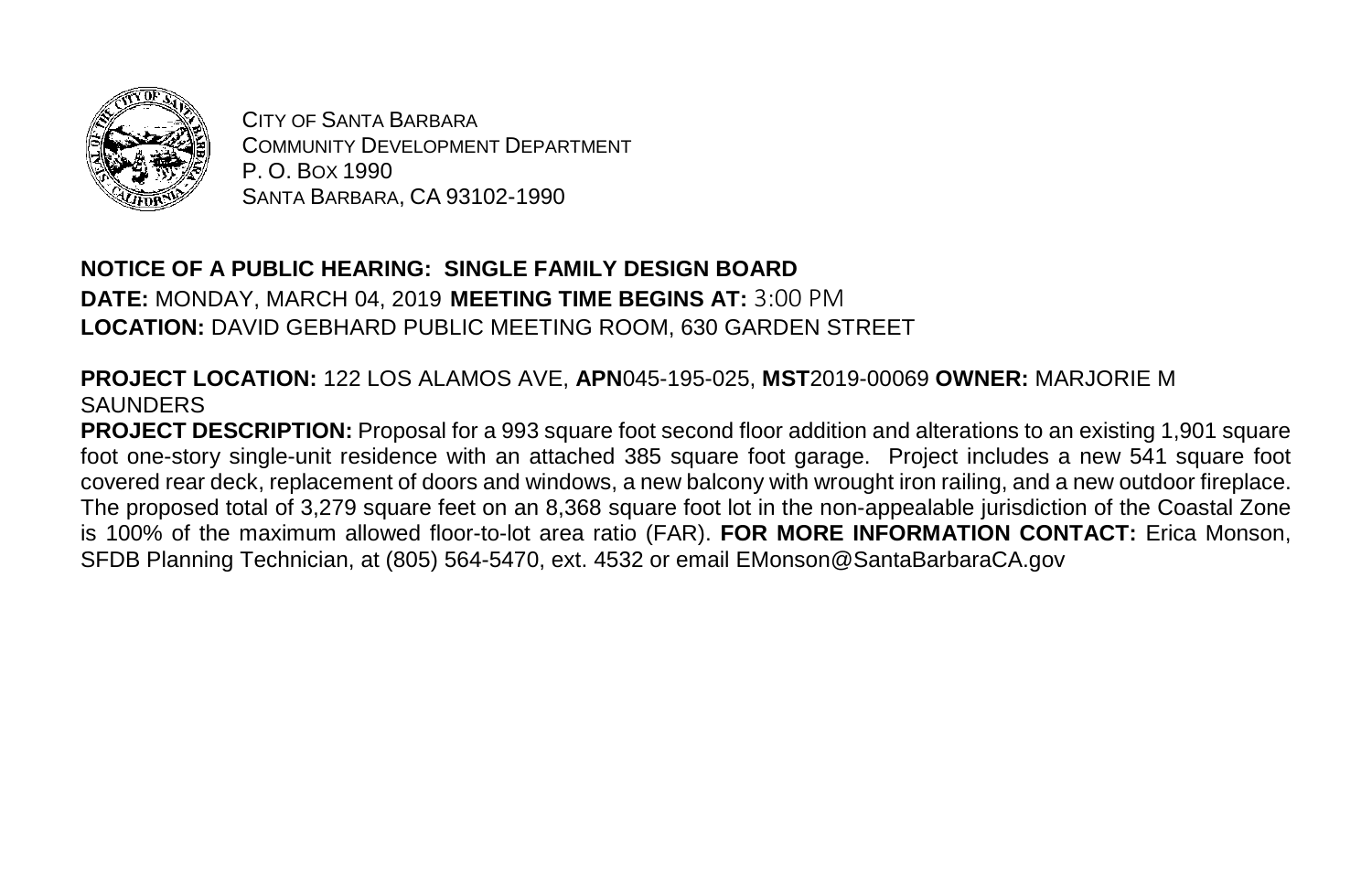

CITY OF SANTA BARBARA COMMUNITY DEVELOPMENT DEPARTMENT P. O. BOX 1990 SANTA BARBARA, CA 93102-1990

## **NOTICE OF A PUBLIC HEARING: SINGLE FAMILY DESIGN BOARD**

**DATE:** MONDAY, MARCH 04, 2019 **MEETING TIME BEGINS AT:** 3:00 PM **LOCATION:** DAVID GEBHARD PUBLIC MEETING ROOM, 630 GARDEN STREET

## **PROJECT LOCATION:** 122 LOS ALAMOS AVE, **APN**045-195-025, **MST**2019-00069 **OWNER:** MARJORIE M **SAUNDERS**

**PROJECT DESCRIPTION:** Proposal for a 993 square foot second floor addition and alterations to an existing 1,901 square foot one-story single-unit residence with an attached 385 square foot garage. Project includes a new 541 square foot covered rear deck, replacement of doors and windows, a new balcony with wrought iron railing, and a new outdoor fireplace. The proposed total of 3,279 square feet on an 8,368 square foot lot in the non-appealable jurisdiction of the Coastal Zone is 100% of the maximum allowed floor-to-lot area ratio (FAR). **FOR MORE INFORMATION CONTACT:** Erica Monson, SFDB Planning Technician, at (805) 564-5470, ext. 4532 or email EMonson@SantaBarbaraCA.gov